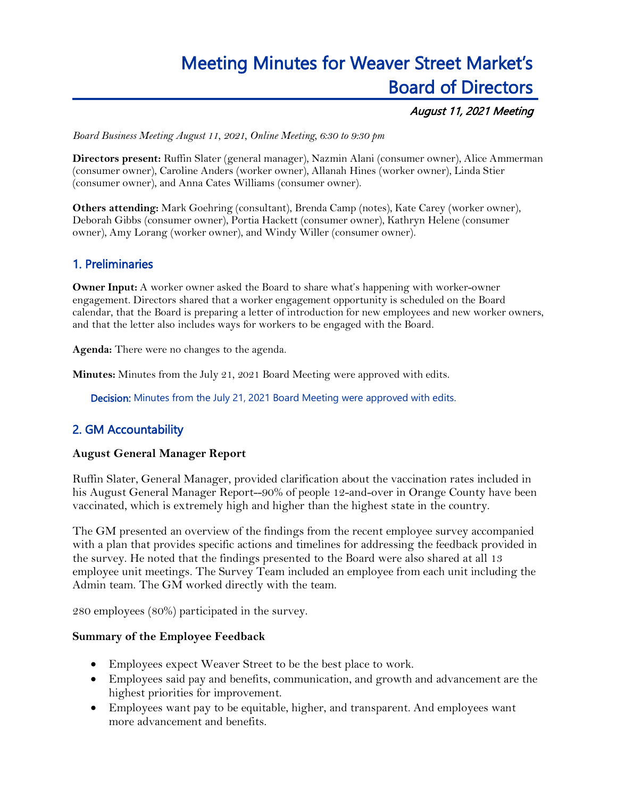# Meeting Minutes for Weaver Street Market's Board of Directors

## August 11, 2021 Meeting

*Board Business Meeting August 11, 2021, Online Meeting, 6:30 to 9:30 pm*

**Directors present:** Ruffin Slater (general manager), Nazmin Alani (consumer owner), Alice Ammerman (consumer owner), Caroline Anders (worker owner), Allanah Hines (worker owner), Linda Stier (consumer owner), and Anna Cates Williams (consumer owner).

**Others attending:** Mark Goehring (consultant), Brenda Camp (notes), Kate Carey (worker owner), Deborah Gibbs (consumer owner), Portia Hackett (consumer owner), Kathryn Helene (consumer owner), Amy Lorang (worker owner), and Windy Willer (consumer owner).

# 1. Preliminaries

**Owner Input:** A worker owner asked the Board to share what's happening with worker-owner engagement. Directors shared that a worker engagement opportunity is scheduled on the Board calendar, that the Board is preparing a letter of introduction for new employees and new worker owners, and that the letter also includes ways for workers to be engaged with the Board.

**Agenda:** There were no changes to the agenda.

**Minutes:** Minutes from the July 21, 2021 Board Meeting were approved with edits.

Decision: Minutes from the July 21, 2021 Board Meeting were approved with edits.

## 2. GM Accountability

#### **August General Manager Report**

Ruffin Slater, General Manager, provided clarification about the vaccination rates included in his August General Manager Report--90% of people 12-and-over in Orange County have been vaccinated, which is extremely high and higher than the highest state in the country.

The GM presented an overview of the findings from the recent employee survey accompanied with a plan that provides specific actions and timelines for addressing the feedback provided in the survey. He noted that the findings presented to the Board were also shared at all 13 employee unit meetings. The Survey Team included an employee from each unit including the Admin team. The GM worked directly with the team.

280 employees (80%) participated in the survey.

#### **Summary of the Employee Feedback**

- Employees expect Weaver Street to be the best place to work.
- Employees said pay and benefits, communication, and growth and advancement are the highest priorities for improvement.
- Employees want pay to be equitable, higher, and transparent. And employees want more advancement and benefits.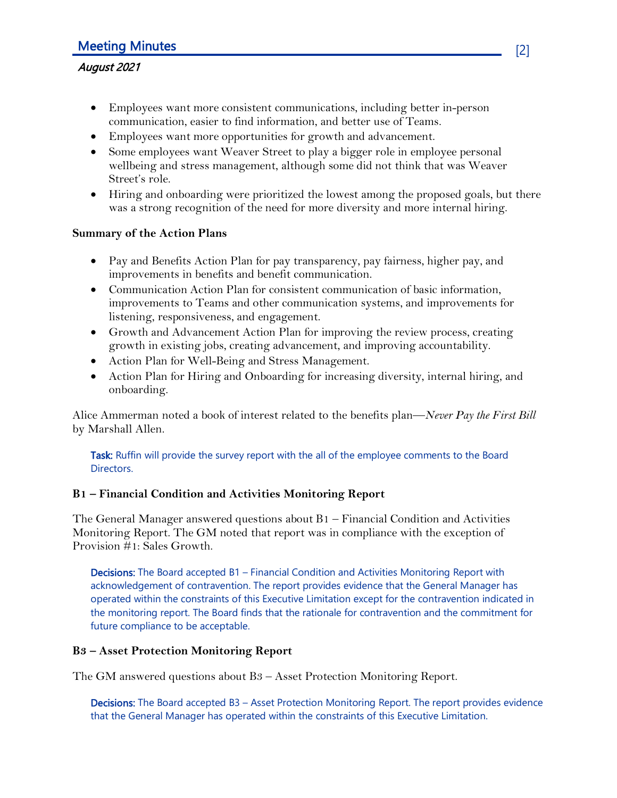## August 2021

- Employees want more consistent communications, including better in-person communication, easier to find information, and better use of Teams.
- Employees want more opportunities for growth and advancement.
- Some employees want Weaver Street to play a bigger role in employee personal wellbeing and stress management, although some did not think that was Weaver Street's role.
- Hiring and onboarding were prioritized the lowest among the proposed goals, but there was a strong recognition of the need for more diversity and more internal hiring.

### **Summary of the Action Plans**

- Pay and Benefits Action Plan for pay transparency, pay fairness, higher pay, and improvements in benefits and benefit communication.
- Communication Action Plan for consistent communication of basic information, improvements to Teams and other communication systems, and improvements for listening, responsiveness, and engagement.
- Growth and Advancement Action Plan for improving the review process, creating growth in existing jobs, creating advancement, and improving accountability.
- Action Plan for Well-Being and Stress Management.
- Action Plan for Hiring and Onboarding for increasing diversity, internal hiring, and onboarding.

Alice Ammerman noted a book of interest related to the benefits plan—*Never Pay the First Bill* by Marshall Allen.

Task: Ruffin will provide the survey report with the all of the employee comments to the Board Directors.

## **B1 – Financial Condition and Activities Monitoring Report**

The General Manager answered questions about B1 – Financial Condition and Activities Monitoring Report. The GM noted that report was in compliance with the exception of Provision #1: Sales Growth.

Decisions: The Board accepted B1 – Financial Condition and Activities Monitoring Report with acknowledgement of contravention. The report provides evidence that the General Manager has operated within the constraints of this Executive Limitation except for the contravention indicated in the monitoring report. The Board finds that the rationale for contravention and the commitment for future compliance to be acceptable.

#### **B3 – Asset Protection Monitoring Report**

The GM answered questions about B3 – Asset Protection Monitoring Report.

Decisions: The Board accepted B3 - Asset Protection Monitoring Report. The report provides evidence that the General Manager has operated within the constraints of this Executive Limitation.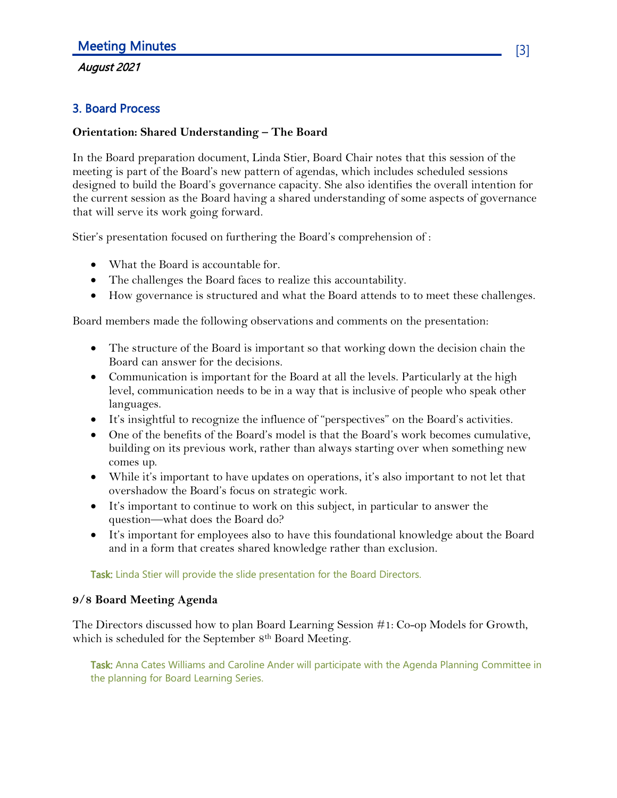# August 2021

# 3. Board Process

## **Orientation: Shared Understanding – The Board**

In the Board preparation document, Linda Stier, Board Chair notes that this session of the meeting is part of the Board's new pattern of agendas, which includes scheduled sessions designed to build the Board's governance capacity. She also identifies the overall intention for the current session as the Board having a shared understanding of some aspects of governance that will serve its work going forward.

Stier's presentation focused on furthering the Board's comprehension of :

- What the Board is accountable for.
- The challenges the Board faces to realize this accountability.
- How governance is structured and what the Board attends to to meet these challenges.

Board members made the following observations and comments on the presentation:

- The structure of the Board is important so that working down the decision chain the Board can answer for the decisions.
- Communication is important for the Board at all the levels. Particularly at the high level, communication needs to be in a way that is inclusive of people who speak other languages.
- It's insightful to recognize the influence of "perspectives" on the Board's activities.
- One of the benefits of the Board's model is that the Board's work becomes cumulative, building on its previous work, rather than always starting over when something new comes up.
- While it's important to have updates on operations, it's also important to not let that overshadow the Board's focus on strategic work.
- It's important to continue to work on this subject, in particular to answer the question—what does the Board do?
- It's important for employees also to have this foundational knowledge about the Board and in a form that creates shared knowledge rather than exclusion.

Task: Linda Stier will provide the slide presentation for the Board Directors.

## **9/8 Board Meeting Agenda**

The Directors discussed how to plan Board Learning Session #1: Co-op Models for Growth, which is scheduled for the September 8<sup>th</sup> Board Meeting.

Task: Anna Cates Williams and Caroline Ander will participate with the Agenda Planning Committee in the planning for Board Learning Series.